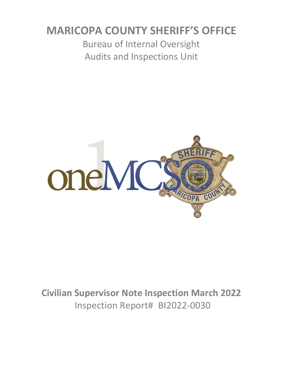# **MARICOPA COUNTY SHERIFF'S OFFICE**

Bureau of Internal Oversight Audits and Inspections Unit



**Civilian Supervisor Note Inspection March 2022** Inspection Report# BI2022-0030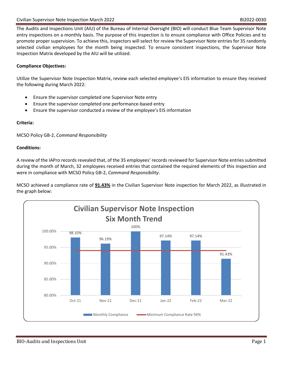The Audits and Inspections Unit (AIU) of the Bureau of Internal Oversight (BIO) will conduct Blue Team Supervisor Note entry inspections on a monthly basis. The purpose of this inspection is to ensure compliance with Office Policies and to promote proper supervision. To achieve this, inspectors will select for review the Supervisor Note entries for 35 randomly selected civilian employees for the month being inspected. To ensure consistent inspections, the Supervisor Note Inspection Matrix developed by the AIU will be utilized.

### **Compliance Objectives:**

Utilize the Supervisor Note Inspection Matrix, review each selected employee's EIS information to ensure they received the following during March 2022:

- Ensure the supervisor completed one Supervisor Note entry
- Ensure the supervisor completed one performance-based entry
- Ensure the supervisor conducted a review of the employee's EIS information

### **Criteria:**

MCSO Policy GB-2, *Command Responsibility*

#### **Conditions:**

A review of the IAPro records revealed that, of the 35 employees' records reviewed for Supervisor Note entries submitted during the month of March, 32 employees received entries that contained the required elements of this inspection and were in compliance with MCSO Policy GB-2, *Command Responsibility*.

MCSO achieved a compliance rate of **91.43%** in the Civilian Supervisor Note inspection for March 2022, as illustrated in the graph below:

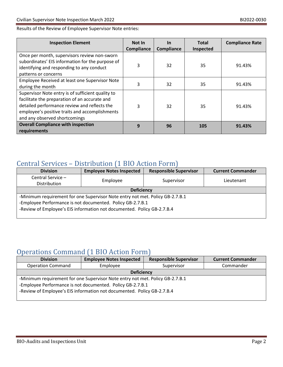### Results of the Review of Employee Supervisor Note entries:

| <b>Inspection Element</b>                                                                                                                                                                                                             | <b>Not In</b><br>Compliance | <u>In</u><br>Compliance | <b>Total</b><br>Inspected | <b>Compliance Rate</b> |
|---------------------------------------------------------------------------------------------------------------------------------------------------------------------------------------------------------------------------------------|-----------------------------|-------------------------|---------------------------|------------------------|
| Once per month, supervisors review non-sworn<br>subordinates' EIS information for the purpose of<br>identifying and responding to any conduct<br>patterns or concerns                                                                 | 3                           | 32                      | 35                        | 91.43%                 |
| Employee Received at least one Supervisor Note<br>during the month                                                                                                                                                                    | 3                           | 32                      | 35                        | 91.43%                 |
| Supervisor Note entry is of sufficient quality to<br>facilitate the preparation of an accurate and<br>detailed performance review and reflects the<br>employee's positive traits and accomplishments<br>and any observed shortcomings | 3                           | 32                      | 35                        | 91.43%                 |
| <b>Overall Compliance with inspection</b><br>requirements                                                                                                                                                                             | 9                           | 96                      | 105                       | 91.43%                 |

## Central Services – Distribution (1 BIO Action Form)

| <b>Division</b>                                                               | <b>Employee Notes Inspected</b> | <b>Responsible Supervisor</b> | <b>Current Commander</b> |  |  |
|-------------------------------------------------------------------------------|---------------------------------|-------------------------------|--------------------------|--|--|
| Central Service -                                                             | Employee                        | Supervisor                    | Lieutenant               |  |  |
| Distribution                                                                  |                                 |                               |                          |  |  |
| <b>Deficiency</b>                                                             |                                 |                               |                          |  |  |
| -Minimum requirement for one Supervisor Note entry not met. Policy GB-2.7.B.1 |                                 |                               |                          |  |  |
| -Employee Performance is not documented. Policy GB-2.7.B.1                    |                                 |                               |                          |  |  |
| -Review of Employee's EIS information not documented. Policy GB-2.7.B.4       |                                 |                               |                          |  |  |
|                                                                               |                                 |                               |                          |  |  |

# Operations Command (1 BIO Action Form)

| <b>Division</b>                                                               | <b>Employee Notes Inspected</b> | <b>Responsible Supervisor</b> | <b>Current Commander</b> |  |  |
|-------------------------------------------------------------------------------|---------------------------------|-------------------------------|--------------------------|--|--|
| <b>Operation Command</b>                                                      | Employee                        | Supervisor                    | Commander                |  |  |
| <b>Deficiency</b>                                                             |                                 |                               |                          |  |  |
| -Minimum requirement for one Supervisor Note entry not met. Policy GB-2.7.B.1 |                                 |                               |                          |  |  |
| -Employee Performance is not documented. Policy GB-2.7.B.1                    |                                 |                               |                          |  |  |
| -Review of Employee's EIS information not documented. Policy GB-2.7.B.4       |                                 |                               |                          |  |  |
|                                                                               |                                 |                               |                          |  |  |